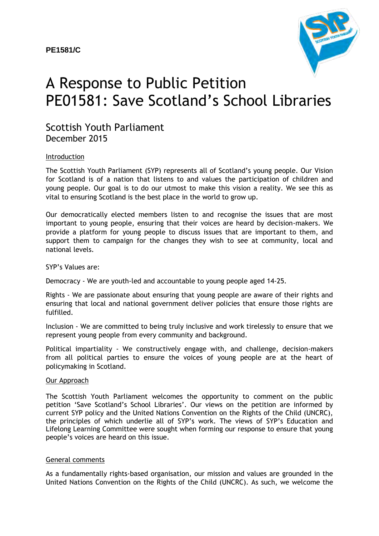

# A Response to Public Petition PE01581: Save Scotland's School Libraries

# Scottish Youth Parliament December 2015

#### Introduction

The Scottish Youth Parliament (SYP) represents all of Scotland's young people. Our Vision for Scotland is of a nation that listens to and values the participation of children and young people. Our goal is to do our utmost to make this vision a reality. We see this as vital to ensuring Scotland is the best place in the world to grow up.

Our democratically elected members listen to and recognise the issues that are most important to young people, ensuring that their voices are heard by decision-makers. We provide a platform for young people to discuss issues that are important to them, and support them to campaign for the changes they wish to see at community, local and national levels.

#### SYP's Values are:

Democracy - We are youth-led and accountable to young people aged 14-25.

Rights - We are passionate about ensuring that young people are aware of their rights and ensuring that local and national government deliver policies that ensure those rights are fulfilled.

Inclusion - We are committed to being truly inclusive and work tirelessly to ensure that we represent young people from every community and background.

Political impartiality - We constructively engage with, and challenge, decision-makers from all political parties to ensure the voices of young people are at the heart of policymaking in Scotland.

#### Our Approach

The Scottish Youth Parliament welcomes the opportunity to comment on the public petition 'Save Scotland's School Libraries'. Our views on the petition are informed by current SYP policy and the United Nations Convention on the Rights of the Child (UNCRC), the principles of which underlie all of SYP's work. The views of SYP's Education and Lifelong Learning Committee were sought when forming our response to ensure that young people's voices are heard on this issue.

### General comments

As a fundamentally rights-based organisation, our mission and values are grounded in the United Nations Convention on the Rights of the Child (UNCRC). As such, we welcome the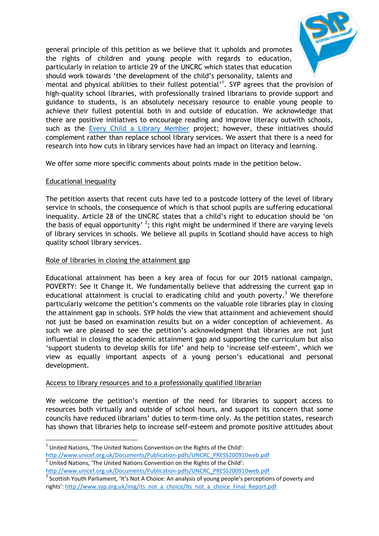

general principle of this petition as we believe that it upholds and promotes the rights of children and young people with regards to education, particularly in relation to article 29 of the UNCRC which states that education should work towards 'the development of the child's personality, talents and

mental and physical abilities to their fullest potential'<sup>1</sup>. SYP agrees that the provision of high-quality school libraries, with professionally trained librarians to provide support and guidance to students, is an absolutely necessary resource to enable young people to achieve their fullest potential both in and outside of education. We acknowledge that there are positive initiatives to encourage reading and improve literacy outwith schools, such as the [Every Child a Library Member](http://scottishlibraries.org/every-child-a-library-member/) project; however, these initiatives should complement rather than replace school library services. We assert that there is a need for research into how cuts in library services have had an impact on literacy and learning.

We offer some more specific comments about points made in the petition below.

# Educational inequality

The petition asserts that recent cuts have led to a postcode lottery of the level of library service in schools, the consequence of which is that school pupils are suffering educational inequality. Article 28 of the UNCRC states that a child's right to education should be 'on the basis of equal opportunity' <sup>2</sup>; this right might be undermined if there are varying levels of library services in schools. We believe all pupils in Scotland should have access to high quality school library services.

# Role of libraries in closing the attainment gap

Educational attainment has been a key area of focus for our 2015 national campaign, POVERTY: See It Change It. We fundamentally believe that addressing the current gap in educational attainment is crucial to eradicating child and youth poverty.<sup>3</sup> We therefore particularly welcome the petition's comments on the valuable role libraries play in closing the attainment gap in schools. SYP holds the view that attainment and achievement should not just be based on examination results but on a wider conception of achievement. As such we are pleased to see the petition's acknowledgment that libraries are not just influential in closing the academic attainment gap and supporting the curriculum but also 'support students to develop skills for life' and help to 'increase self-esteem', which we view as equally important aspects of a young person's educational and personal development.

# Access to library resources and to a professionally qualified librarian

We welcome the petition's mention of the need for libraries to support access to resources both virtually and outside of school hours, and support its concern that some councils have reduced librarians' duties to term-time only. As the petition states, research has shown that libraries help to increase self-esteem and promote positive attitudes about

**<sup>.</sup>**  $1$  United Nations, 'The United Nations Convention on the Rights of the Child': [http://www.unicef.org.uk/Documents/Publication-pdfs/UNCRC\\_PRESS200910web.pdf](http://www.unicef.org.uk/Documents/Publication-pdfs/UNCRC_PRESS200910web.pdf) 

 $2$  United Nations, 'The United Nations Convention on the Rights of the Child':

[http://www.unicef.org.uk/Documents/Publication-pdfs/UNCRC\\_PRESS200910web.pdf](http://www.unicef.org.uk/Documents/Publication-pdfs/UNCRC_PRESS200910web.pdf)

<sup>3</sup> Scottish Youth Parliament, 'It's Not A Choice: An analysis of young people's perceptions of poverty and rights': http://www.syp.org.uk/img/its\_not\_a\_choice/Its\_not\_a\_choice\_Final\_Report.pdf